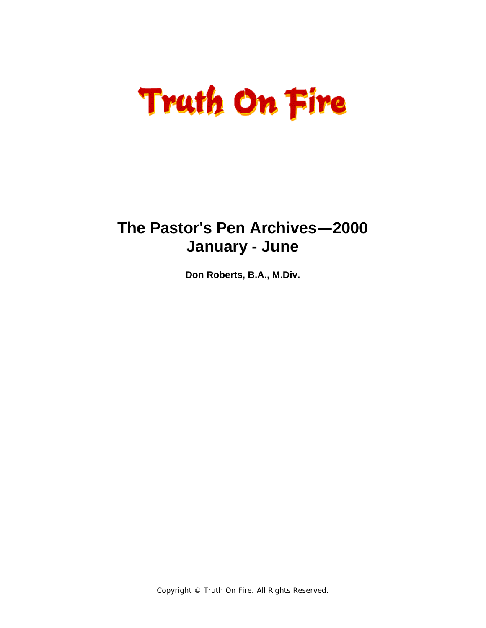### **The Pastor's Pen Archives—2000 January - June**

**Don Roberts, B.A., M.Div.** 

Copyright © Truth On Fire. All Rights Reserved.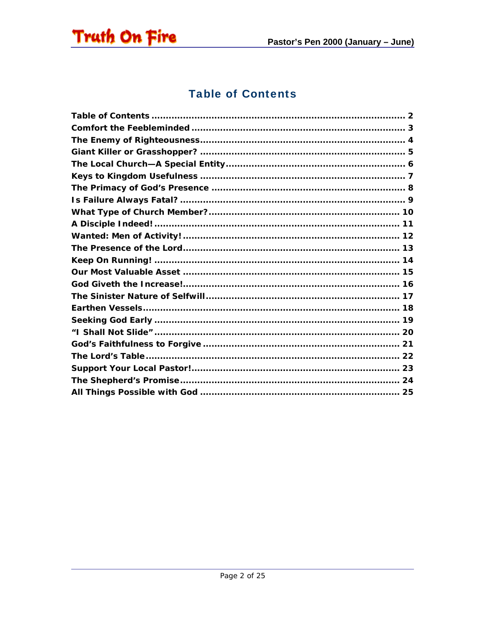<span id="page-1-0"></span>

#### **Table of Contents**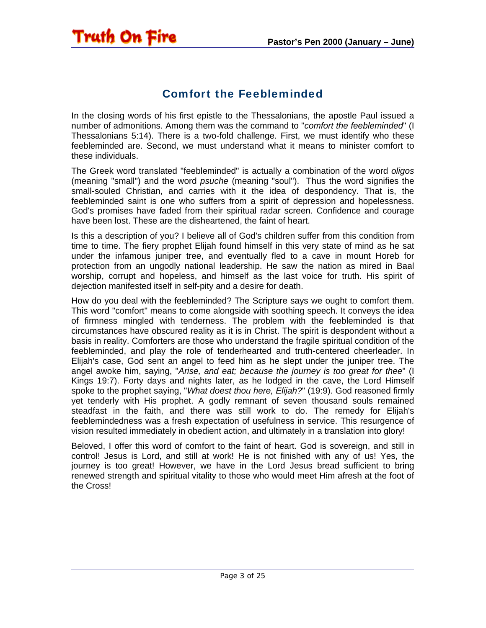#### Comfort the Feebleminded

<span id="page-2-0"></span>Truth On Fire

In the closing words of his first epistle to the Thessalonians, the apostle Paul issued a number of admonitions. Among them was the command to "*comfort the feebleminded*" (I Thessalonians 5:14). There is a two-fold challenge. First, we must identify who these feebleminded are. Second, we must understand what it means to minister comfort to these individuals.

The Greek word translated "feebleminded" is actually a combination of the word *oligos* (meaning "small") and the word *psuche* (meaning "soul"). Thus the word signifies the small-souled Christian, and carries with it the idea of despondency. That is, the feebleminded saint is one who suffers from a spirit of depression and hopelessness. God's promises have faded from their spiritual radar screen. Confidence and courage have been lost. These are the disheartened, the faint of heart.

Is this a description of you? I believe all of God's children suffer from this condition from time to time. The fiery prophet Elijah found himself in this very state of mind as he sat under the infamous juniper tree, and eventually fled to a cave in mount Horeb for protection from an ungodly national leadership. He saw the nation as mired in Baal worship, corrupt and hopeless, and himself as the last voice for truth. His spirit of dejection manifested itself in self-pity and a desire for death.

How do you deal with the feebleminded? The Scripture says we ought to comfort them. This word "comfort" means to come alongside with soothing speech. It conveys the idea of firmness mingled with tenderness. The problem with the feebleminded is that circumstances have obscured reality as it is in Christ. The spirit is despondent without a basis in reality. Comforters are those who understand the fragile spiritual condition of the feebleminded, and play the role of tenderhearted and truth-centered cheerleader. In Elijah's case, God sent an angel to feed him as he slept under the juniper tree. The angel awoke him, saying, "*Arise, and eat; because the journey is too great for thee*" (I Kings 19:7). Forty days and nights later, as he lodged in the cave, the Lord Himself spoke to the prophet saying, "*What doest thou here, Elijah?*" (19:9). God reasoned firmly yet tenderly with His prophet. A godly remnant of seven thousand souls remained steadfast in the faith, and there was still work to do. The remedy for Elijah's feeblemindedness was a fresh expectation of usefulness in service. This resurgence of vision resulted immediately in obedient action, and ultimately in a translation into glory!

Beloved, I offer this word of comfort to the faint of heart. God is sovereign, and still in control! Jesus is Lord, and still at work! He is not finished with any of us! Yes, the journey is too great! However, we have in the Lord Jesus bread sufficient to bring renewed strength and spiritual vitality to those who would meet Him afresh at the foot of the Cross!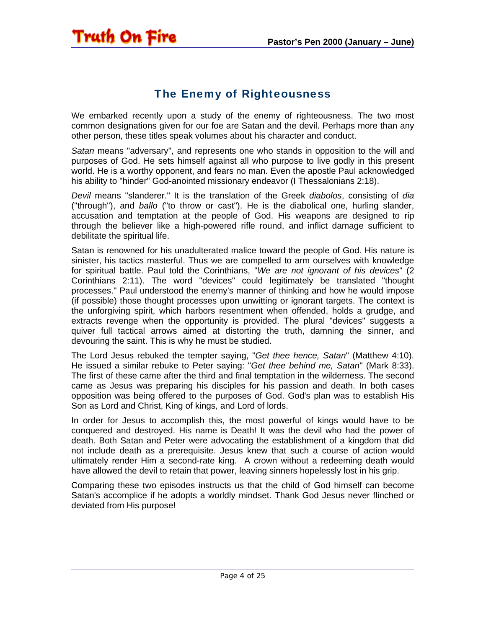#### The Enemy of Righteousness

<span id="page-3-0"></span>Truth On Fire

We embarked recently upon a study of the enemy of righteousness. The two most common designations given for our foe are Satan and the devil. Perhaps more than any other person, these titles speak volumes about his character and conduct.

*Satan* means "adversary", and represents one who stands in opposition to the will and purposes of God. He sets himself against all who purpose to live godly in this present world. He is a worthy opponent, and fears no man. Even the apostle Paul acknowledged his ability to "hinder" God-anointed missionary endeavor (I Thessalonians 2:18).

*Devil* means "slanderer." It is the translation of the Greek *diabolos*, consisting of *dia* ("through"), and *ballo* ("to throw or cast"). He is the diabolical one, hurling slander, accusation and temptation at the people of God. His weapons are designed to rip through the believer like a high-powered rifle round, and inflict damage sufficient to debilitate the spiritual life.

Satan is renowned for his unadulterated malice toward the people of God. His nature is sinister, his tactics masterful. Thus we are compelled to arm ourselves with knowledge for spiritual battle. Paul told the Corinthians, "*We are not ignorant of his devices*" (2 Corinthians 2:11). The word "devices" could legitimately be translated "thought processes." Paul understood the enemy's manner of thinking and how he would impose (if possible) those thought processes upon unwitting or ignorant targets. The context is the unforgiving spirit, which harbors resentment when offended, holds a grudge, and extracts revenge when the opportunity is provided. The plural "devices" suggests a quiver full tactical arrows aimed at distorting the truth, damning the sinner, and devouring the saint. This is why he must be studied.

The Lord Jesus rebuked the tempter saying, "*Get thee hence, Satan*" (Matthew 4:10). He issued a similar rebuke to Peter saying: "*Get thee behind me, Satan*" (Mark 8:33). The first of these came after the third and final temptation in the wilderness. The second came as Jesus was preparing his disciples for his passion and death. In both cases opposition was being offered to the purposes of God. God's plan was to establish His Son as Lord and Christ, King of kings, and Lord of lords.

In order for Jesus to accomplish this, the most powerful of kings would have to be conquered and destroyed. His name is Death! It was the devil who had the power of death. Both Satan and Peter were advocating the establishment of a kingdom that did not include death as a prerequisite. Jesus knew that such a course of action would ultimately render Him a second-rate king. A crown without a redeeming death would have allowed the devil to retain that power, leaving sinners hopelessly lost in his grip.

Comparing these two episodes instructs us that the child of God himself can become Satan's accomplice if he adopts a worldly mindset. Thank God Jesus never flinched or deviated from His purpose!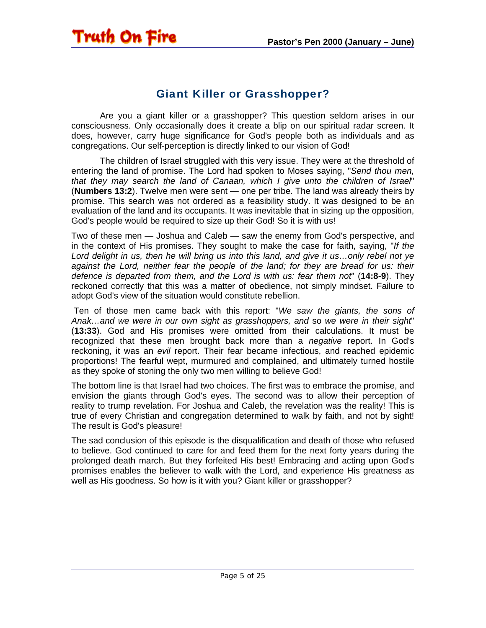#### Giant Killer or Grasshopper?

<span id="page-4-0"></span> Are you a giant killer or a grasshopper? This question seldom arises in our consciousness. Only occasionally does it create a blip on our spiritual radar screen. It does, however, carry huge significance for God's people both as individuals and as congregations. Our self-perception is directly linked to our vision of God!

 The children of Israel struggled with this very issue. They were at the threshold of entering the land of promise. The Lord had spoken to Moses saying, "*Send thou men, that they may search the land of Canaan, which I give unto the children of Israel*" (**Numbers 13:2**). Twelve men were sent — one per tribe. The land was already theirs by promise. This search was not ordered as a feasibility study. It was designed to be an evaluation of the land and its occupants. It was inevitable that in sizing up the opposition, God's people would be required to size up their God! So it is with us!

Two of these men — Joshua and Caleb — saw the enemy from God's perspective, and in the context of His promises. They sought to make the case for faith, saying, "*If the*  Lord delight in us, then he will bring us into this land, and give it us...only rebel not ye *against the Lord, neither fear the people of the land; for they are bread for us: their defence is departed from them, and the Lord is with us: fear them not*" (**14:8-9**). They reckoned correctly that this was a matter of obedience, not simply mindset. Failure to adopt God's view of the situation would constitute rebellion.

 Ten of those men came back with this report: "*We saw the giants, the sons of Anak…and we were in our own sight as grasshoppers, and* so *we were in their sight*" (**13:33**). God and His promises were omitted from their calculations. It must be recognized that these men brought back more than a *negative* report. In God's reckoning, it was an *evil* report. Their fear became infectious, and reached epidemic proportions! The fearful wept, murmured and complained, and ultimately turned hostile as they spoke of stoning the only two men willing to believe God!

The bottom line is that Israel had two choices. The first was to embrace the promise, and envision the giants through God's eyes. The second was to allow their perception of reality to trump revelation. For Joshua and Caleb, the revelation was the reality! This is true of every Christian and congregation determined to walk by faith, and not by sight! The result is God's pleasure!

The sad conclusion of this episode is the disqualification and death of those who refused to believe. God continued to care for and feed them for the next forty years during the prolonged death march. But they forfeited His best! Embracing and acting upon God's promises enables the believer to walk with the Lord, and experience His greatness as well as His goodness. So how is it with you? Giant killer or grasshopper?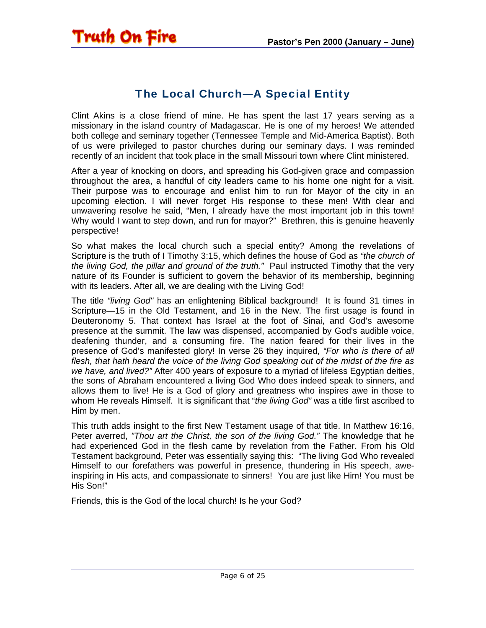#### The Local Church—A Special Entity

<span id="page-5-0"></span>Clint Akins is a close friend of mine. He has spent the last 17 years serving as a missionary in the island country of Madagascar. He is one of my heroes! We attended both college and seminary together (Tennessee Temple and Mid-America Baptist). Both of us were privileged to pastor churches during our seminary days. I was reminded recently of an incident that took place in the small Missouri town where Clint ministered.

After a year of knocking on doors, and spreading his God-given grace and compassion throughout the area, a handful of city leaders came to his home one night for a visit. Their purpose was to encourage and enlist him to run for Mayor of the city in an upcoming election. I will never forget His response to these men! With clear and unwavering resolve he said, "Men, I already have the most important job in this town! Why would I want to step down, and run for mayor?" Brethren, this is genuine heavenly perspective!

So what makes the local church such a special entity? Among the revelations of Scripture is the truth of I Timothy 3:15, which defines the house of God as *"the church of the living God, the pillar and ground of the truth."* Paul instructed Timothy that the very nature of its Founder is sufficient to govern the behavior of its membership, beginning with its leaders. After all, we are dealing with the Living God!

The title *"living God"* has an enlightening Biblical background! It is found 31 times in Scripture—15 in the Old Testament, and 16 in the New. The first usage is found in Deuteronomy 5. That context has Israel at the foot of Sinai, and God's awesome presence at the summit. The law was dispensed, accompanied by God's audible voice, deafening thunder, and a consuming fire. The nation feared for their lives in the presence of God's manifested glory! In verse 26 they inquired, *"For who is there of all flesh, that hath heard the voice of the living God speaking out of the midst of the fire as we have, and lived?"* After 400 years of exposure to a myriad of lifeless Egyptian deities, the sons of Abraham encountered a living God Who does indeed speak to sinners, and allows them to live! He is a God of glory and greatness who inspires awe in those to whom He reveals Himself. It is significant that "*the living God"* was a title first ascribed to Him by men.

This truth adds insight to the first New Testament usage of that title. In Matthew 16:16, Peter averred, *"Thou art the Christ, the son of the living God."* The knowledge that he had experienced God in the flesh came by revelation from the Father. From his Old Testament background, Peter was essentially saying this: "The living God Who revealed Himself to our forefathers was powerful in presence, thundering in His speech, aweinspiring in His acts, and compassionate to sinners! You are just like Him! You must be His Son!"

Friends, this is the God of the local church! Is he your God?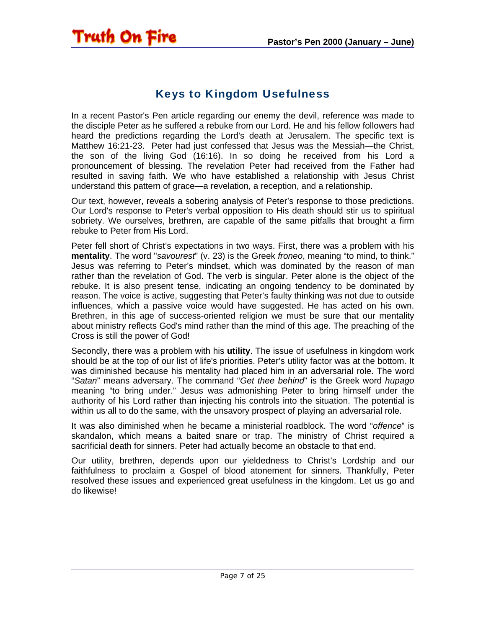<span id="page-6-0"></span>

#### Keys to Kingdom Usefulness

In a recent Pastor's Pen article regarding our enemy the devil, reference was made to the disciple Peter as he suffered a rebuke from our Lord. He and his fellow followers had heard the predictions regarding the Lord's death at Jerusalem. The specific text is Matthew 16:21-23. Peter had just confessed that Jesus was the Messiah—the Christ, the son of the living God (16:16). In so doing he received from his Lord a pronouncement of blessing. The revelation Peter had received from the Father had resulted in saving faith. We who have established a relationship with Jesus Christ understand this pattern of grace—a revelation, a reception, and a relationship.

Our text, however, reveals a sobering analysis of Peter's response to those predictions. Our Lord's response to Peter's verbal opposition to His death should stir us to spiritual sobriety. We ourselves, brethren, are capable of the same pitfalls that brought a firm rebuke to Peter from His Lord.

Peter fell short of Christ's expectations in two ways. First, there was a problem with his **mentality**. The word "*savourest*" (v. 23) is the Greek *froneo*, meaning "to mind, to think." Jesus was referring to Peter's mindset, which was dominated by the reason of man rather than the revelation of God. The verb is singular. Peter alone is the object of the rebuke. It is also present tense, indicating an ongoing tendency to be dominated by reason. The voice is active, suggesting that Peter's faulty thinking was not due to outside influences, which a passive voice would have suggested. He has acted on his own. Brethren, in this age of success-oriented religion we must be sure that our mentality about ministry reflects God's mind rather than the mind of this age. The preaching of the Cross is still the power of God!

Secondly, there was a problem with his **utility**. The issue of usefulness in kingdom work should be at the top of our list of life's priorities. Peter's utility factor was at the bottom. It was diminished because his mentality had placed him in an adversarial role. The word "*Satan*" means adversary. The command "*Get thee behind*" is the Greek word *hupago* meaning "to bring under." Jesus was admonishing Peter to bring himself under the authority of his Lord rather than injecting his controls into the situation. The potential is within us all to do the same, with the unsavory prospect of playing an adversarial role.

It was also diminished when he became a ministerial roadblock. The word "*offence*" is skandalon, which means a baited snare or trap. The ministry of Christ required a sacrificial death for sinners. Peter had actually become an obstacle to that end.

Our utility, brethren, depends upon our yieldedness to Christ's Lordship and our faithfulness to proclaim a Gospel of blood atonement for sinners. Thankfully, Peter resolved these issues and experienced great usefulness in the kingdom. Let us go and do likewise!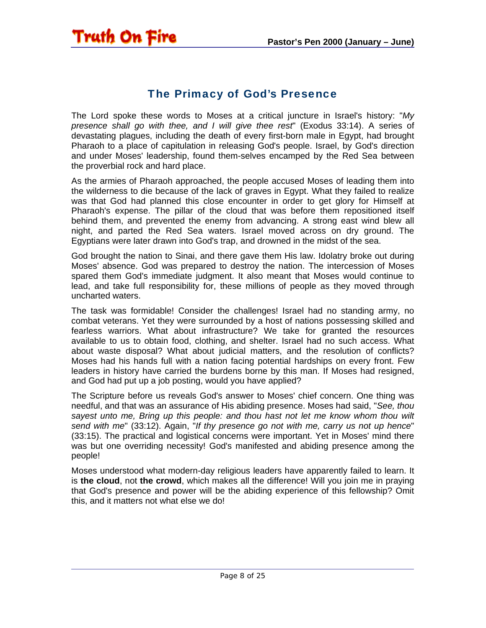#### The Primacy of God's Presence

<span id="page-7-0"></span>The Lord spoke these words to Moses at a critical juncture in Israel's history: "*My presence shall go with thee, and I will give thee rest*" (Exodus 33:14). A series of devastating plagues, including the death of every first-born male in Egypt, had brought Pharaoh to a place of capitulation in releasing God's people. Israel, by God's direction and under Moses' leadership, found them-selves encamped by the Red Sea between the proverbial rock and hard place.

As the armies of Pharaoh approached, the people accused Moses of leading them into the wilderness to die because of the lack of graves in Egypt. What they failed to realize was that God had planned this close encounter in order to get glory for Himself at Pharaoh's expense. The pillar of the cloud that was before them repositioned itself behind them, and prevented the enemy from advancing. A strong east wind blew all night, and parted the Red Sea waters. Israel moved across on dry ground. The Egyptians were later drawn into God's trap, and drowned in the midst of the sea.

God brought the nation to Sinai, and there gave them His law. Idolatry broke out during Moses' absence. God was prepared to destroy the nation. The intercession of Moses spared them God's immediate judgment. It also meant that Moses would continue to lead, and take full responsibility for, these millions of people as they moved through uncharted waters.

The task was formidable! Consider the challenges! Israel had no standing army, no combat veterans. Yet they were surrounded by a host of nations possessing skilled and fearless warriors. What about infrastructure? We take for granted the resources available to us to obtain food, clothing, and shelter. Israel had no such access. What about waste disposal? What about judicial matters, and the resolution of conflicts? Moses had his hands full with a nation facing potential hardships on every front. Few leaders in history have carried the burdens borne by this man. If Moses had resigned, and God had put up a job posting, would you have applied?

The Scripture before us reveals God's answer to Moses' chief concern. One thing was needful, and that was an assurance of His abiding presence. Moses had said, "*See, thou sayest unto me, Bring up this people: and thou hast not let me know whom thou wilt send with me*" (33:12). Again, "*If thy presence go not with me, carry us not up hence*" (33:15). The practical and logistical concerns were important. Yet in Moses' mind there was but one overriding necessity! God's manifested and abiding presence among the people!

Moses understood what modern-day religious leaders have apparently failed to learn. It is **the cloud**, not **the crowd**, which makes all the difference! Will you join me in praying that God's presence and power will be the abiding experience of this fellowship? Omit this, and it matters not what else we do!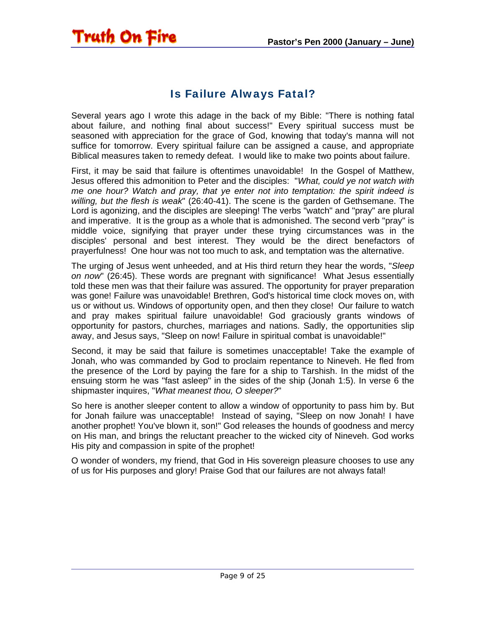#### Is Failure Always Fatal?

<span id="page-8-0"></span>**Truth On Fire** 

Several years ago I wrote this adage in the back of my Bible: "There is nothing fatal about failure, and nothing final about success!" Every spiritual success must be seasoned with appreciation for the grace of God, knowing that today's manna will not suffice for tomorrow. Every spiritual failure can be assigned a cause, and appropriate Biblical measures taken to remedy defeat. I would like to make two points about failure.

First, it may be said that failure is oftentimes unavoidable! In the Gospel of Matthew, Jesus offered this admonition to Peter and the disciples: "*What, could ye not watch with me one hour? Watch and pray, that ye enter not into temptation: the spirit indeed is willing, but the flesh is weak*" (26:40-41). The scene is the garden of Gethsemane. The Lord is agonizing, and the disciples are sleeping! The verbs "watch" and "pray" are plural and imperative. It is the group as a whole that is admonished. The second verb "pray" is middle voice, signifying that prayer under these trying circumstances was in the disciples' personal and best interest. They would be the direct benefactors of prayerfulness! One hour was not too much to ask, and temptation was the alternative.

The urging of Jesus went unheeded, and at His third return they hear the words, "*Sleep on now*" (26:45). These words are pregnant with significance! What Jesus essentially told these men was that their failure was assured. The opportunity for prayer preparation was gone! Failure was unavoidable! Brethren, God's historical time clock moves on, with us or without us. Windows of opportunity open, and then they close! Our failure to watch and pray makes spiritual failure unavoidable! God graciously grants windows of opportunity for pastors, churches, marriages and nations. Sadly, the opportunities slip away, and Jesus says, "Sleep on now! Failure in spiritual combat is unavoidable!"

Second, it may be said that failure is sometimes unacceptable! Take the example of Jonah, who was commanded by God to proclaim repentance to Nineveh. He fled from the presence of the Lord by paying the fare for a ship to Tarshish. In the midst of the ensuing storm he was "fast asleep" in the sides of the ship (Jonah 1:5). In verse 6 the shipmaster inquires, "*What meanest thou, O sleeper?*"

So here is another sleeper content to allow a window of opportunity to pass him by. But for Jonah failure was unacceptable! Instead of saying, "Sleep on now Jonah! I have another prophet! You've blown it, son!" God releases the hounds of goodness and mercy on His man, and brings the reluctant preacher to the wicked city of Nineveh. God works His pity and compassion in spite of the prophet!

O wonder of wonders, my friend, that God in His sovereign pleasure chooses to use any of us for His purposes and glory! Praise God that our failures are not always fatal!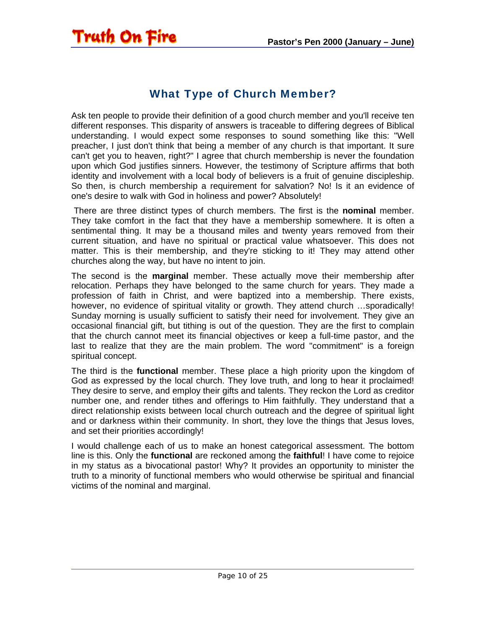#### What Type of Church Member?

<span id="page-9-0"></span>Ask ten people to provide their definition of a good church member and you'll receive ten different responses. This disparity of answers is traceable to differing degrees of Biblical understanding. I would expect some responses to sound something like this: "Well preacher, I just don't think that being a member of any church is that important. It sure can't get you to heaven, right?" I agree that church membership is never the foundation upon which God justifies sinners. However, the testimony of Scripture affirms that both identity and involvement with a local body of believers is a fruit of genuine discipleship. So then, is church membership a requirement for salvation? No! Is it an evidence of one's desire to walk with God in holiness and power? Absolutely!

 There are three distinct types of church members. The first is the **nominal** member. They take comfort in the fact that they have a membership somewhere. It is often a sentimental thing. It may be a thousand miles and twenty years removed from their current situation, and have no spiritual or practical value whatsoever. This does not matter. This is their membership, and they're sticking to it! They may attend other churches along the way, but have no intent to join.

The second is the **marginal** member. These actually move their membership after relocation. Perhaps they have belonged to the same church for years. They made a profession of faith in Christ, and were baptized into a membership. There exists, however, no evidence of spiritual vitality or growth. They attend church ...sporadically! Sunday morning is usually sufficient to satisfy their need for involvement. They give an occasional financial gift, but tithing is out of the question. They are the first to complain that the church cannot meet its financial objectives or keep a full-time pastor, and the last to realize that they are the main problem. The word "commitment" is a foreign spiritual concept.

The third is the **functional** member. These place a high priority upon the kingdom of God as expressed by the local church. They love truth, and long to hear it proclaimed! They desire to serve, and employ their gifts and talents. They reckon the Lord as creditor number one, and render tithes and offerings to Him faithfully. They understand that a direct relationship exists between local church outreach and the degree of spiritual light and or darkness within their community. In short, they love the things that Jesus loves, and set their priorities accordingly!

I would challenge each of us to make an honest categorical assessment. The bottom line is this. Only the **functional** are reckoned among the **faithful**! I have come to rejoice in my status as a bivocational pastor! Why? It provides an opportunity to minister the truth to a minority of functional members who would otherwise be spiritual and financial victims of the nominal and marginal.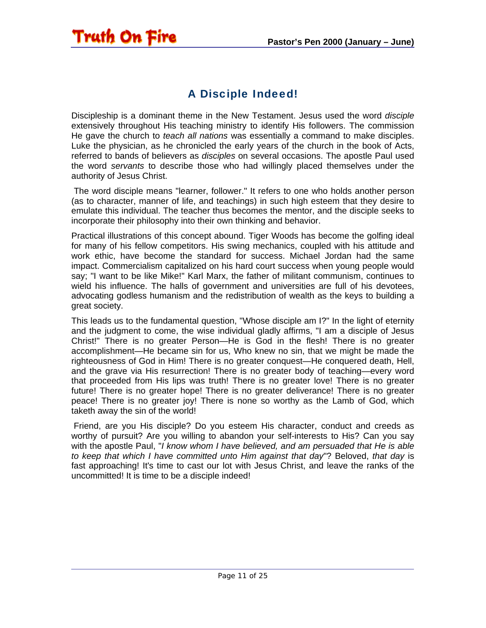#### A Disciple Indeed!

<span id="page-10-0"></span>Truth On Fire

Discipleship is a dominant theme in the New Testament. Jesus used the word *disciple*  extensively throughout His teaching ministry to identify His followers. The commission He gave the church to *teach all nations* was essentially a command to make disciples. Luke the physician, as he chronicled the early years of the church in the book of Acts, referred to bands of believers as *disciples* on several occasions. The apostle Paul used the word *servants* to describe those who had willingly placed themselves under the authority of Jesus Christ.

 The word disciple means "learner, follower." It refers to one who holds another person (as to character, manner of life, and teachings) in such high esteem that they desire to emulate this individual. The teacher thus becomes the mentor, and the disciple seeks to incorporate their philosophy into their own thinking and behavior.

Practical illustrations of this concept abound. Tiger Woods has become the golfing ideal for many of his fellow competitors. His swing mechanics, coupled with his attitude and work ethic, have become the standard for success. Michael Jordan had the same impact. Commercialism capitalized on his hard court success when young people would say; "I want to be like Mike!" Karl Marx, the father of militant communism, continues to wield his influence. The halls of government and universities are full of his devotees, advocating godless humanism and the redistribution of wealth as the keys to building a great society.

This leads us to the fundamental question, "Whose disciple am I?" In the light of eternity and the judgment to come, the wise individual gladly affirms, "I am a disciple of Jesus Christ!" There is no greater Person—He is God in the flesh! There is no greater accomplishment—He became sin for us, Who knew no sin, that we might be made the righteousness of God in Him! There is no greater conquest—He conquered death, Hell, and the grave via His resurrection! There is no greater body of teaching—every word that proceeded from His lips was truth! There is no greater love! There is no greater future! There is no greater hope! There is no greater deliverance! There is no greater peace! There is no greater joy! There is none so worthy as the Lamb of God, which taketh away the sin of the world!

 Friend, are you His disciple? Do you esteem His character, conduct and creeds as worthy of pursuit? Are you willing to abandon your self-interests to His? Can you say with the apostle Paul, "*I know whom I have believed, and am persuaded that He is able to keep that which I have committed unto Him against that day*"? Beloved, *that day* is fast approaching! It's time to cast our lot with Jesus Christ, and leave the ranks of the uncommitted! It is time to be a disciple indeed!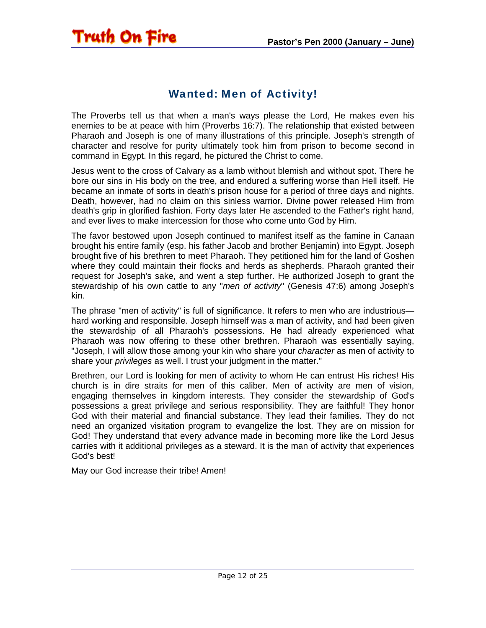#### Wanted: Men of Activity!

The Proverbs tell us that when a man's ways please the Lord, He makes even his enemies to be at peace with him (Proverbs 16:7). The relationship that existed between Pharaoh and Joseph is one of many illustrations of this principle. Joseph's strength of character and resolve for purity ultimately took him from prison to become second in command in Egypt. In this regard, he pictured the Christ to come.

Jesus went to the cross of Calvary as a lamb without blemish and without spot. There he bore our sins in His body on the tree, and endured a suffering worse than Hell itself. He became an inmate of sorts in death's prison house for a period of three days and nights. Death, however, had no claim on this sinless warrior. Divine power released Him from death's grip in glorified fashion. Forty days later He ascended to the Father's right hand, and ever lives to make intercession for those who come unto God by Him.

The favor bestowed upon Joseph continued to manifest itself as the famine in Canaan brought his entire family (esp. his father Jacob and brother Benjamin) into Egypt. Joseph brought five of his brethren to meet Pharaoh. They petitioned him for the land of Goshen where they could maintain their flocks and herds as shepherds. Pharaoh granted their request for Joseph's sake, and went a step further. He authorized Joseph to grant the stewardship of his own cattle to any "*men of activity*" (Genesis 47:6) among Joseph's kin.

The phrase "men of activity" is full of significance. It refers to men who are industrious hard working and responsible. Joseph himself was a man of activity, and had been given the stewardship of all Pharaoh's possessions. He had already experienced what Pharaoh was now offering to these other brethren. Pharaoh was essentially saying, "Joseph, I will allow those among your kin who share your *character* as men of activity to share your *privileges* as well. I trust your judgment in the matter."

Brethren, our Lord is looking for men of activity to whom He can entrust His riches! His church is in dire straits for men of this caliber. Men of activity are men of vision, engaging themselves in kingdom interests. They consider the stewardship of God's possessions a great privilege and serious responsibility. They are faithful! They honor God with their material and financial substance. They lead their families. They do not need an organized visitation program to evangelize the lost. They are on mission for God! They understand that every advance made in becoming more like the Lord Jesus carries with it additional privileges as a steward. It is the man of activity that experiences God's best!

May our God increase their tribe! Amen!

<span id="page-11-0"></span>Truth On Fire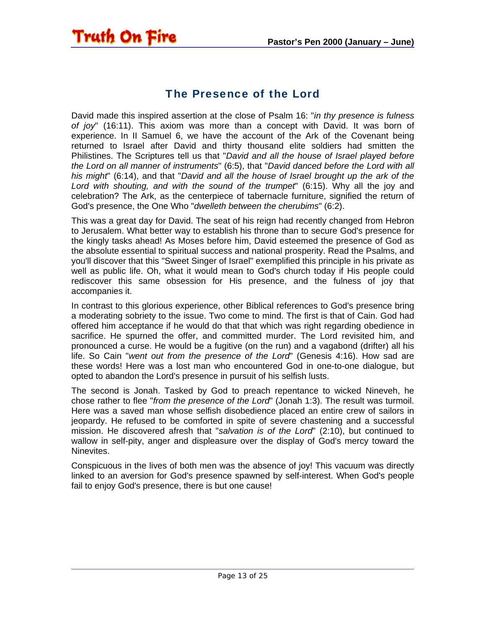#### The Presence of the Lord

<span id="page-12-0"></span>**Truth On Fire** 

David made this inspired assertion at the close of Psalm 16: "*in thy presence is fulness of joy*" (16:11). This axiom was more than a concept with David. It was born of experience. In II Samuel 6, we have the account of the Ark of the Covenant being returned to Israel after David and thirty thousand elite soldiers had smitten the Philistines. The Scriptures tell us that "*David and all the house of Israel played before the Lord on all manner of instruments*" (6:5), that "*David danced before the Lord with all his might*" (6:14), and that "*David and all the house of Israel brought up the ark of the Lord with shouting, and with the sound of the trumpet*" (6:15). Why all the joy and celebration? The Ark, as the centerpiece of tabernacle furniture, signified the return of God's presence, the One Who "*dwelleth between the cherubims*" (6:2).

This was a great day for David. The seat of his reign had recently changed from Hebron to Jerusalem. What better way to establish his throne than to secure God's presence for the kingly tasks ahead! As Moses before him, David esteemed the presence of God as the absolute essential to spiritual success and national prosperity. Read the Psalms, and you'll discover that this "Sweet Singer of Israel" exemplified this principle in his private as well as public life. Oh, what it would mean to God's church today if His people could rediscover this same obsession for His presence, and the fulness of joy that accompanies it.

In contrast to this glorious experience, other Biblical references to God's presence bring a moderating sobriety to the issue. Two come to mind. The first is that of Cain. God had offered him acceptance if he would do that that which was right regarding obedience in sacrifice. He spurned the offer, and committed murder. The Lord revisited him, and pronounced a curse. He would be a fugitive (on the run) and a vagabond (drifter) all his life. So Cain "*went out from the presence of the Lord*" (Genesis 4:16). How sad are these words! Here was a lost man who encountered God in one-to-one dialogue, but opted to abandon the Lord's presence in pursuit of his selfish lusts.

The second is Jonah. Tasked by God to preach repentance to wicked Nineveh, he chose rather to flee "*from the presence of the Lord*" (Jonah 1:3). The result was turmoil. Here was a saved man whose selfish disobedience placed an entire crew of sailors in jeopardy. He refused to be comforted in spite of severe chastening and a successful mission. He discovered afresh that "*salvation is of the Lord*" (2:10), but continued to wallow in self-pity, anger and displeasure over the display of God's mercy toward the Ninevites.

Conspicuous in the lives of both men was the absence of joy! This vacuum was directly linked to an aversion for God's presence spawned by self-interest. When God's people fail to enjoy God's presence, there is but one cause!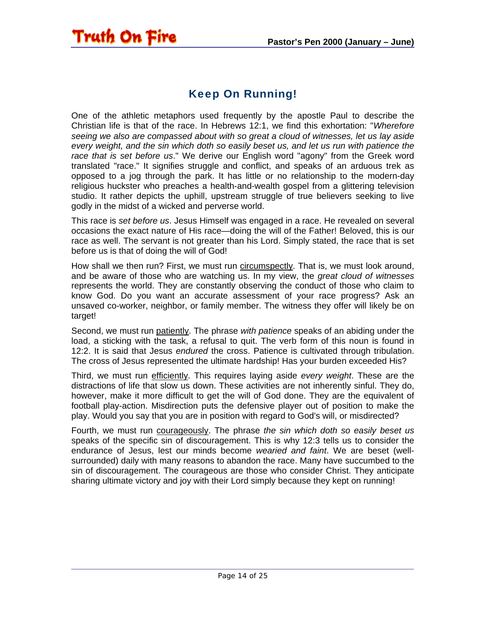### Keep On Running!

<span id="page-13-0"></span>Truth On Fire

One of the athletic metaphors used frequently by the apostle Paul to describe the Christian life is that of the race. In Hebrews 12:1, we find this exhortation: "*Wherefore seeing we also are compassed about with so great a cloud of witnesses, let us lay aside every weight, and the sin which doth so easily beset us, and let us run with patience the race that is set before us*." We derive our English word "agony" from the Greek word translated "race." It signifies struggle and conflict, and speaks of an arduous trek as opposed to a jog through the park. It has little or no relationship to the modern-day religious huckster who preaches a health-and-wealth gospel from a glittering television studio. It rather depicts the uphill, upstream struggle of true believers seeking to live godly in the midst of a wicked and perverse world.

This race is *set before us*. Jesus Himself was engaged in a race. He revealed on several occasions the exact nature of His race—doing the will of the Father! Beloved, this is our race as well. The servant is not greater than his Lord. Simply stated, the race that is set before us is that of doing the will of God!

How shall we then run? First, we must run circumspectly. That is, we must look around, and be aware of those who are watching us. In my view, the *great cloud of witnesses*  represents the world. They are constantly observing the conduct of those who claim to know God. Do you want an accurate assessment of your race progress? Ask an unsaved co-worker, neighbor, or family member. The witness they offer will likely be on target!

Second, we must run patiently. The phrase *with patience* speaks of an abiding under the load, a sticking with the task, a refusal to quit. The verb form of this noun is found in 12:2. It is said that Jesus *endured* the cross. Patience is cultivated through tribulation. The cross of Jesus represented the ultimate hardship! Has your burden exceeded His?

Third, we must run efficiently. This requires laying aside *every weight*. These are the distractions of life that slow us down. These activities are not inherently sinful. They do, however, make it more difficult to get the will of God done. They are the equivalent of football play-action. Misdirection puts the defensive player out of position to make the play. Would you say that you are in position with regard to God's will, or misdirected?

Fourth, we must run courageously. The phrase *the sin which doth so easily beset us* speaks of the specific sin of discouragement. This is why 12:3 tells us to consider the endurance of Jesus, lest our minds become *wearied and faint*. We are beset (wellsurrounded) daily with many reasons to abandon the race. Many have succumbed to the sin of discouragement. The courageous are those who consider Christ. They anticipate sharing ultimate victory and joy with their Lord simply because they kept on running!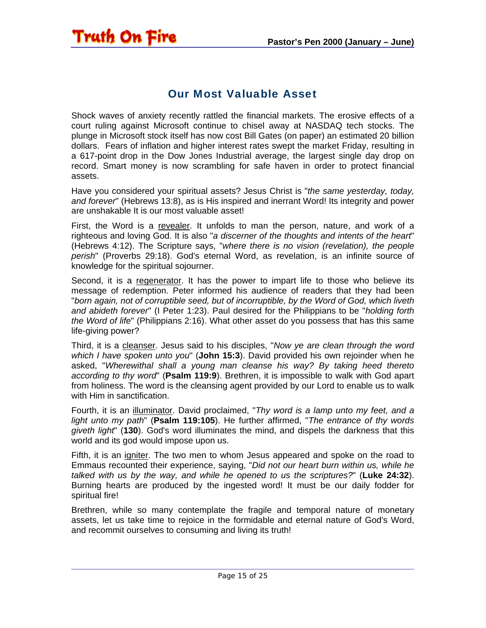#### Our Most Valuable Asset

<span id="page-14-0"></span>Truth On Fire

Shock waves of anxiety recently rattled the financial markets. The erosive effects of a court ruling against Microsoft continue to chisel away at NASDAQ tech stocks. The plunge in Microsoft stock itself has now cost Bill Gates (on paper) an estimated 20 billion dollars. Fears of inflation and higher interest rates swept the market Friday, resulting in a 617-point drop in the Dow Jones Industrial average, the largest single day drop on record. Smart money is now scrambling for safe haven in order to protect financial assets.

Have you considered your spiritual assets? Jesus Christ is "*the same yesterday, today, and forever*" (Hebrews 13:8), as is His inspired and inerrant Word! Its integrity and power are unshakable It is our most valuable asset!

First, the Word is a revealer. It unfolds to man the person, nature, and work of a righteous and loving God. It is also "*a discerner of the thoughts and intents of the heart*" (Hebrews 4:12). The Scripture says, "*where there is no vision (revelation), the people perish*" (Proverbs 29:18). God's eternal Word, as revelation, is an infinite source of knowledge for the spiritual sojourner.

Second, it is a regenerator. It has the power to impart life to those who believe its message of redemption. Peter informed his audience of readers that they had been "*born again, not of corruptible seed, but of incorruptible, by the Word of God, which liveth and abideth forever*" (I Peter 1:23). Paul desired for the Philippians to be "*holding forth the Word of life*" (Philippians 2:16). What other asset do you possess that has this same life-giving power?

Third, it is a cleanser. Jesus said to his disciples, "*Now ye are clean through the word which I have spoken unto you*" (**John 15:3**). David provided his own rejoinder when he asked, "*Wherewithal shall a young man cleanse his way? By taking heed thereto according to thy word*" (**Psalm 119:9**). Brethren, it is impossible to walk with God apart from holiness. The word is the cleansing agent provided by our Lord to enable us to walk with Him in sanctification.

Fourth, it is an illuminator. David proclaimed, "*Thy word is a lamp unto my feet, and a light unto my path*" (**Psalm 119:105**). He further affirmed, "*The entrance of thy words giveth light*" (**130**). God's word illuminates the mind, and dispels the darkness that this world and its god would impose upon us.

Fifth, it is an igniter. The two men to whom Jesus appeared and spoke on the road to Emmaus recounted their experience, saying, "*Did not our heart burn within us, while he talked with us by the way, and while he opened to us the scriptures?*" (**Luke 24:32**). Burning hearts are produced by the ingested word! It must be our daily fodder for spiritual fire!

Brethren, while so many contemplate the fragile and temporal nature of monetary assets, let us take time to rejoice in the formidable and eternal nature of God's Word, and recommit ourselves to consuming and living its truth!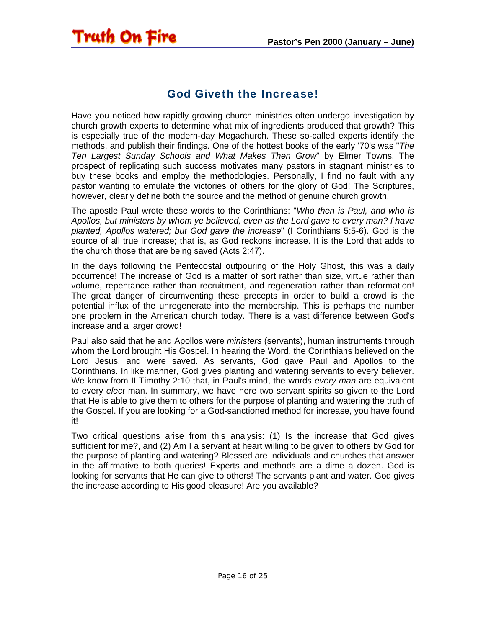#### God Giveth the Increase!

<span id="page-15-0"></span>Truth On Fire

Have you noticed how rapidly growing church ministries often undergo investigation by church growth experts to determine what mix of ingredients produced that growth? This is especially true of the modern-day Megachurch. These so-called experts identify the methods, and publish their findings. One of the hottest books of the early '70's was "*The Ten Largest Sunday Schools and What Makes Then Grow*" by Elmer Towns. The prospect of replicating such success motivates many pastors in stagnant ministries to buy these books and employ the methodologies. Personally, I find no fault with any pastor wanting to emulate the victories of others for the glory of God! The Scriptures, however, clearly define both the source and the method of genuine church growth.

The apostle Paul wrote these words to the Corinthians: "*Who then is Paul, and who is Apollos, but ministers by whom ye believed, even as the Lord gave to every man? I have planted, Apollos watered; but God gave the increase*" (I Corinthians 5:5-6). God is the source of all true increase; that is, as God reckons increase. It is the Lord that adds to the church those that are being saved (Acts 2:47).

In the days following the Pentecostal outpouring of the Holy Ghost, this was a daily occurrence! The increase of God is a matter of sort rather than size, virtue rather than volume, repentance rather than recruitment, and regeneration rather than reformation! The great danger of circumventing these precepts in order to build a crowd is the potential influx of the unregenerate into the membership. This is perhaps the number one problem in the American church today. There is a vast difference between God's increase and a larger crowd!

Paul also said that he and Apollos were *ministers* (servants), human instruments through whom the Lord brought His Gospel. In hearing the Word, the Corinthians believed on the Lord Jesus, and were saved. As servants, God gave Paul and Apollos to the Corinthians. In like manner, God gives planting and watering servants to every believer. We know from II Timothy 2:10 that, in Paul's mind, the words *every man* are equivalent to every *elect* man. In summary, we have here two servant spirits so given to the Lord that He is able to give them to others for the purpose of planting and watering the truth of the Gospel. If you are looking for a God-sanctioned method for increase, you have found it!

Two critical questions arise from this analysis: (1) Is the increase that God gives sufficient for me?, and (2) Am I a servant at heart willing to be given to others by God for the purpose of planting and watering? Blessed are individuals and churches that answer in the affirmative to both queries! Experts and methods are a dime a dozen. God is looking for servants that He can give to others! The servants plant and water. God gives the increase according to His good pleasure! Are you available?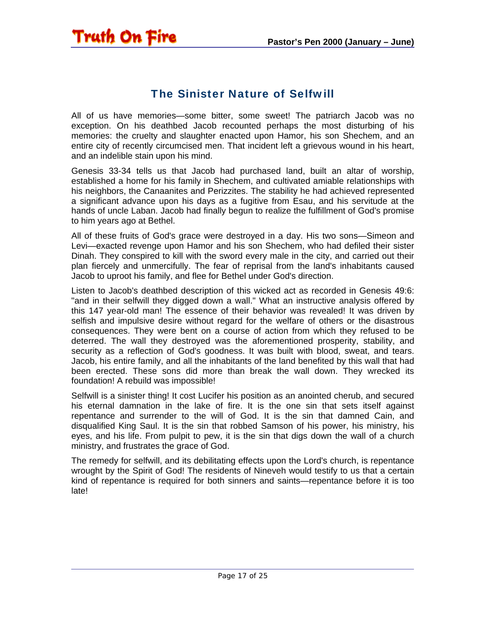#### The Sinister Nature of Selfwill

<span id="page-16-0"></span>All of us have memories—some bitter, some sweet! The patriarch Jacob was no exception. On his deathbed Jacob recounted perhaps the most disturbing of his memories: the cruelty and slaughter enacted upon Hamor, his son Shechem, and an entire city of recently circumcised men. That incident left a grievous wound in his heart, and an indelible stain upon his mind.

Genesis 33-34 tells us that Jacob had purchased land, built an altar of worship, established a home for his family in Shechem, and cultivated amiable relationships with his neighbors, the Canaanites and Perizzites. The stability he had achieved represented a significant advance upon his days as a fugitive from Esau, and his servitude at the hands of uncle Laban. Jacob had finally begun to realize the fulfillment of God's promise to him years ago at Bethel.

All of these fruits of God's grace were destroyed in a day. His two sons—Simeon and Levi—exacted revenge upon Hamor and his son Shechem, who had defiled their sister Dinah. They conspired to kill with the sword every male in the city, and carried out their plan fiercely and unmercifully. The fear of reprisal from the land's inhabitants caused Jacob to uproot his family, and flee for Bethel under God's direction.

Listen to Jacob's deathbed description of this wicked act as recorded in Genesis 49:6: "and in their selfwill they digged down a wall." What an instructive analysis offered by this 147 year-old man! The essence of their behavior was revealed! It was driven by selfish and impulsive desire without regard for the welfare of others or the disastrous consequences. They were bent on a course of action from which they refused to be deterred. The wall they destroyed was the aforementioned prosperity, stability, and security as a reflection of God's goodness. It was built with blood, sweat, and tears. Jacob, his entire family, and all the inhabitants of the land benefited by this wall that had been erected. These sons did more than break the wall down. They wrecked its foundation! A rebuild was impossible!

Selfwill is a sinister thing! It cost Lucifer his position as an anointed cherub, and secured his eternal damnation in the lake of fire. It is the one sin that sets itself against repentance and surrender to the will of God. It is the sin that damned Cain, and disqualified King Saul. It is the sin that robbed Samson of his power, his ministry, his eyes, and his life. From pulpit to pew, it is the sin that digs down the wall of a church ministry, and frustrates the grace of God.

The remedy for selfwill, and its debilitating effects upon the Lord's church, is repentance wrought by the Spirit of God! The residents of Nineveh would testify to us that a certain kind of repentance is required for both sinners and saints—repentance before it is too late!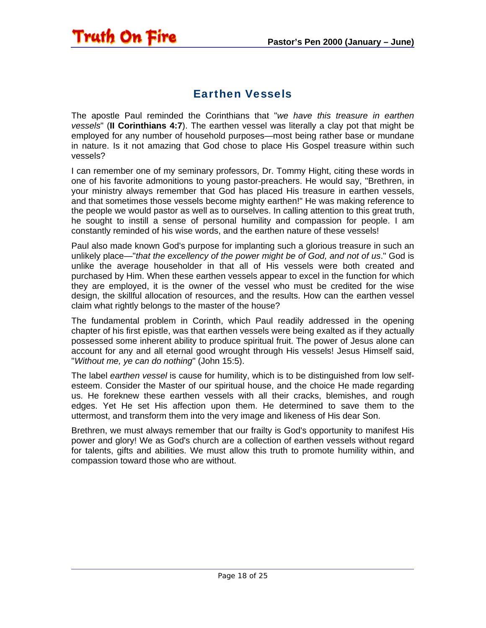#### Earthen Vessels

<span id="page-17-0"></span>The apostle Paul reminded the Corinthians that "*we have this treasure in earthen vessels*" (**II Corinthians 4:7**). The earthen vessel was literally a clay pot that might be employed for any number of household purposes—most being rather base or mundane in nature. Is it not amazing that God chose to place His Gospel treasure within such vessels?

I can remember one of my seminary professors, Dr. Tommy Hight, citing these words in one of his favorite admonitions to young pastor-preachers. He would say, "Brethren, in your ministry always remember that God has placed His treasure in earthen vessels, and that sometimes those vessels become mighty earthen!" He was making reference to the people we would pastor as well as to ourselves. In calling attention to this great truth, he sought to instill a sense of personal humility and compassion for people. I am constantly reminded of his wise words, and the earthen nature of these vessels!

Paul also made known God's purpose for implanting such a glorious treasure in such an unlikely place—"*that the excellency of the power might be of God, and not of us*." God is unlike the average householder in that all of His vessels were both created and purchased by Him. When these earthen vessels appear to excel in the function for which they are employed, it is the owner of the vessel who must be credited for the wise design, the skillful allocation of resources, and the results. How can the earthen vessel claim what rightly belongs to the master of the house?

The fundamental problem in Corinth, which Paul readily addressed in the opening chapter of his first epistle, was that earthen vessels were being exalted as if they actually possessed some inherent ability to produce spiritual fruit. The power of Jesus alone can account for any and all eternal good wrought through His vessels! Jesus Himself said, "*Without me, ye can do nothing*" (John 15:5).

The label *earthen vessel* is cause for humility, which is to be distinguished from low selfesteem. Consider the Master of our spiritual house, and the choice He made regarding us. He foreknew these earthen vessels with all their cracks, blemishes, and rough edges. Yet He set His affection upon them. He determined to save them to the uttermost, and transform them into the very image and likeness of His dear Son.

Brethren, we must always remember that our frailty is God's opportunity to manifest His power and glory! We as God's church are a collection of earthen vessels without regard for talents, gifts and abilities. We must allow this truth to promote humility within, and compassion toward those who are without.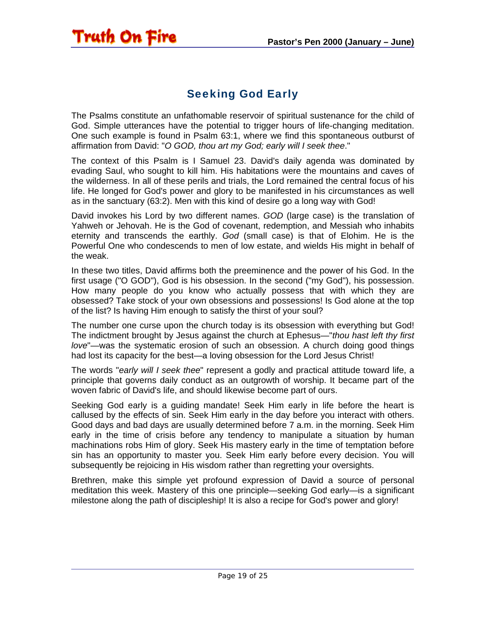#### Seeking God Early

<span id="page-18-0"></span>Truth On Fire

The Psalms constitute an unfathomable reservoir of spiritual sustenance for the child of God. Simple utterances have the potential to trigger hours of life-changing meditation. One such example is found in Psalm 63:1, where we find this spontaneous outburst of affirmation from David: "*O GOD, thou art my God; early will I seek thee*."

The context of this Psalm is I Samuel 23. David's daily agenda was dominated by evading Saul, who sought to kill him. His habitations were the mountains and caves of the wilderness. In all of these perils and trials, the Lord remained the central focus of his life. He longed for God's power and glory to be manifested in his circumstances as well as in the sanctuary (63:2). Men with this kind of desire go a long way with God!

David invokes his Lord by two different names. *GOD* (large case) is the translation of Yahweh or Jehovah. He is the God of covenant, redemption, and Messiah who inhabits eternity and transcends the earthly. *God* (small case) is that of Elohim. He is the Powerful One who condescends to men of low estate, and wields His might in behalf of the weak.

In these two titles, David affirms both the preeminence and the power of his God. In the first usage ("O GOD"), God is his obsession. In the second ("my God"), his possession. How many people do you know who actually possess that with which they are obsessed? Take stock of your own obsessions and possessions! Is God alone at the top of the list? Is having Him enough to satisfy the thirst of your soul?

The number one curse upon the church today is its obsession with everything but God! The indictment brought by Jesus against the church at Ephesus—"*thou hast left thy first love*"—was the systematic erosion of such an obsession. A church doing good things had lost its capacity for the best—a loving obsession for the Lord Jesus Christ!

The words "*early will I seek thee*" represent a godly and practical attitude toward life, a principle that governs daily conduct as an outgrowth of worship. It became part of the woven fabric of David's life, and should likewise become part of ours.

Seeking God early is a guiding mandate! Seek Him early in life before the heart is callused by the effects of sin. Seek Him early in the day before you interact with others. Good days and bad days are usually determined before 7 a.m. in the morning. Seek Him early in the time of crisis before any tendency to manipulate a situation by human machinations robs Him of glory. Seek His mastery early in the time of temptation before sin has an opportunity to master you. Seek Him early before every decision. You will subsequently be rejoicing in His wisdom rather than regretting your oversights.

Brethren, make this simple yet profound expression of David a source of personal meditation this week. Mastery of this one principle—seeking God early—is a significant milestone along the path of discipleship! It is also a recipe for God's power and glory!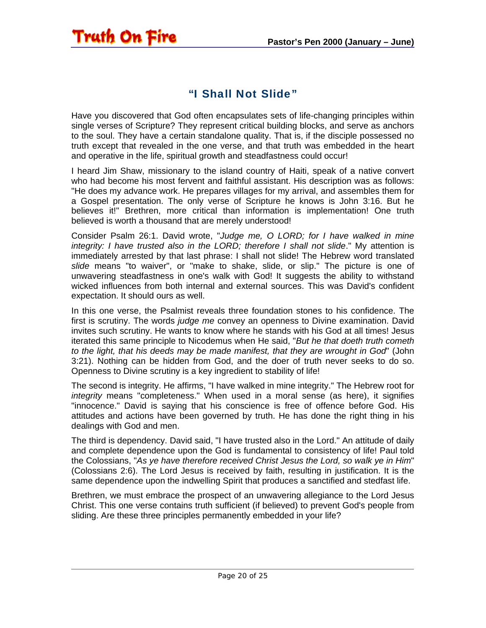<span id="page-19-0"></span>

#### "I Shall Not Slide"

Have you discovered that God often encapsulates sets of life-changing principles within single verses of Scripture? They represent critical building blocks, and serve as anchors to the soul. They have a certain standalone quality. That is, if the disciple possessed no truth except that revealed in the one verse, and that truth was embedded in the heart and operative in the life, spiritual growth and steadfastness could occur!

I heard Jim Shaw, missionary to the island country of Haiti, speak of a native convert who had become his most fervent and faithful assistant. His description was as follows: "He does my advance work. He prepares villages for my arrival, and assembles them for a Gospel presentation. The only verse of Scripture he knows is John 3:16. But he believes it!" Brethren, more critical than information is implementation! One truth believed is worth a thousand that are merely understood!

Consider Psalm 26:1. David wrote, "*Judge me, O LORD; for I have walked in mine integrity: I have trusted also in the LORD; therefore I shall not slide*." My attention is immediately arrested by that last phrase: I shall not slide! The Hebrew word translated *slide* means "to waiver", or "make to shake, slide, or slip." The picture is one of unwavering steadfastness in one's walk with God! It suggests the ability to withstand wicked influences from both internal and external sources. This was David's confident expectation. It should ours as well.

In this one verse, the Psalmist reveals three foundation stones to his confidence. The first is scrutiny. The words *judge me* convey an openness to Divine examination. David invites such scrutiny. He wants to know where he stands with his God at all times! Jesus iterated this same principle to Nicodemus when He said, "*But he that doeth truth cometh to the light, that his deeds may be made manifest, that they are wrought in God*" (John 3:21). Nothing can be hidden from God, and the doer of truth never seeks to do so. Openness to Divine scrutiny is a key ingredient to stability of life!

The second is integrity. He affirms, "I have walked in mine integrity." The Hebrew root for *integrity* means "completeness." When used in a moral sense (as here), it signifies "innocence." David is saying that his conscience is free of offence before God. His attitudes and actions have been governed by truth. He has done the right thing in his dealings with God and men.

The third is dependency. David said, "I have trusted also in the Lord." An attitude of daily and complete dependence upon the God is fundamental to consistency of life! Paul told the Colossians, "*As ye have therefore received Christ Jesus the Lord, so walk ye in Him*" (Colossians 2:6). The Lord Jesus is received by faith, resulting in justification. It is the same dependence upon the indwelling Spirit that produces a sanctified and stedfast life.

Brethren, we must embrace the prospect of an unwavering allegiance to the Lord Jesus Christ. This one verse contains truth sufficient (if believed) to prevent God's people from sliding. Are these three principles permanently embedded in your life?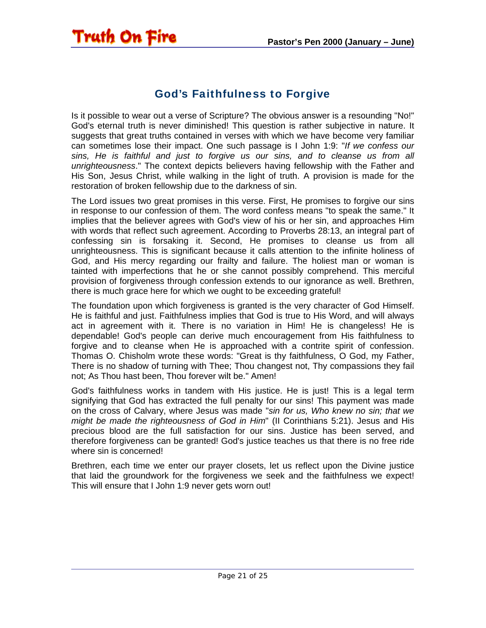#### God's Faithfulness to Forgive

<span id="page-20-0"></span>Is it possible to wear out a verse of Scripture? The obvious answer is a resounding "No!" God's eternal truth is never diminished! This question is rather subjective in nature. It suggests that great truths contained in verses with which we have become very familiar can sometimes lose their impact. One such passage is I John 1:9: "*If we confess our sins, He is faithful and just to forgive us our sins, and to cleanse us from all unrighteousness*." The context depicts believers having fellowship with the Father and His Son, Jesus Christ, while walking in the light of truth. A provision is made for the restoration of broken fellowship due to the darkness of sin.

The Lord issues two great promises in this verse. First, He promises to forgive our sins in response to our confession of them. The word confess means "to speak the same." It implies that the believer agrees with God's view of his or her sin, and approaches Him with words that reflect such agreement. According to Proverbs 28:13, an integral part of confessing sin is forsaking it. Second, He promises to cleanse us from all unrighteousness. This is significant because it calls attention to the infinite holiness of God, and His mercy regarding our frailty and failure. The holiest man or woman is tainted with imperfections that he or she cannot possibly comprehend. This merciful provision of forgiveness through confession extends to our ignorance as well. Brethren, there is much grace here for which we ought to be exceeding grateful!

The foundation upon which forgiveness is granted is the very character of God Himself. He is faithful and just. Faithfulness implies that God is true to His Word, and will always act in agreement with it. There is no variation in Him! He is changeless! He is dependable! God's people can derive much encouragement from His faithfulness to forgive and to cleanse when He is approached with a contrite spirit of confession. Thomas O. Chisholm wrote these words: "Great is thy faithfulness, O God, my Father, There is no shadow of turning with Thee; Thou changest not, Thy compassions they fail not; As Thou hast been, Thou forever wilt be." Amen!

God's faithfulness works in tandem with His justice. He is just! This is a legal term signifying that God has extracted the full penalty for our sins! This payment was made on the cross of Calvary, where Jesus was made "*sin for us, Who knew no sin; that we might be made the righteousness of God in Him*" (II Corinthians 5:21). Jesus and His precious blood are the full satisfaction for our sins. Justice has been served, and therefore forgiveness can be granted! God's justice teaches us that there is no free ride where sin is concerned!

Brethren, each time we enter our prayer closets, let us reflect upon the Divine justice that laid the groundwork for the forgiveness we seek and the faithfulness we expect! This will ensure that I John 1:9 never gets worn out!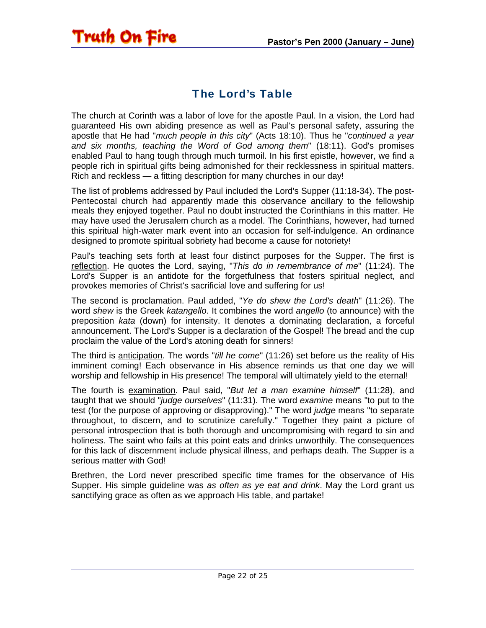#### The Lord's Table

<span id="page-21-0"></span>The church at Corinth was a labor of love for the apostle Paul. In a vision, the Lord had guaranteed His own abiding presence as well as Paul's personal safety, assuring the apostle that He had "*much people in this city*" (Acts 18:10). Thus he "*continued a year and six months, teaching the Word of God among them*" (18:11). God's promises enabled Paul to hang tough through much turmoil. In his first epistle, however, we find a people rich in spiritual gifts being admonished for their recklessness in spiritual matters. Rich and reckless — a fitting description for many churches in our day!

The list of problems addressed by Paul included the Lord's Supper (11:18-34). The post-Pentecostal church had apparently made this observance ancillary to the fellowship meals they enjoyed together. Paul no doubt instructed the Corinthians in this matter. He may have used the Jerusalem church as a model. The Corinthians, however, had turned this spiritual high-water mark event into an occasion for self-indulgence. An ordinance designed to promote spiritual sobriety had become a cause for notoriety!

Paul's teaching sets forth at least four distinct purposes for the Supper. The first is reflection. He quotes the Lord, saying, "*This do in remembrance of me*" (11:24). The Lord's Supper is an antidote for the forgetfulness that fosters spiritual neglect, and provokes memories of Christ's sacrificial love and suffering for us!

The second is proclamation. Paul added, "*Ye do shew the Lord's death*" (11:26). The word *shew* is the Greek *katangello*. It combines the word *angello* (to announce) with the preposition *kata* (down) for intensity. It denotes a dominating declaration, a forceful announcement. The Lord's Supper is a declaration of the Gospel! The bread and the cup proclaim the value of the Lord's atoning death for sinners!

The third is anticipation. The words "*till he come*" (11:26) set before us the reality of His imminent coming! Each observance in His absence reminds us that one day we will worship and fellowship in His presence! The temporal will ultimately yield to the eternal!

The fourth is examination. Paul said, "*But let a man examine himself*" (11:28), and taught that we should "*judge ourselves*" (11:31). The word *examine* means "to put to the test (for the purpose of approving or disapproving)." The word *judge* means "to separate throughout, to discern, and to scrutinize carefully." Together they paint a picture of personal introspection that is both thorough and uncompromising with regard to sin and holiness. The saint who fails at this point eats and drinks unworthily. The consequences for this lack of discernment include physical illness, and perhaps death. The Supper is a serious matter with God!

Brethren, the Lord never prescribed specific time frames for the observance of His Supper. His simple guideline was *as often as ye eat and drink*. May the Lord grant us sanctifying grace as often as we approach His table, and partake!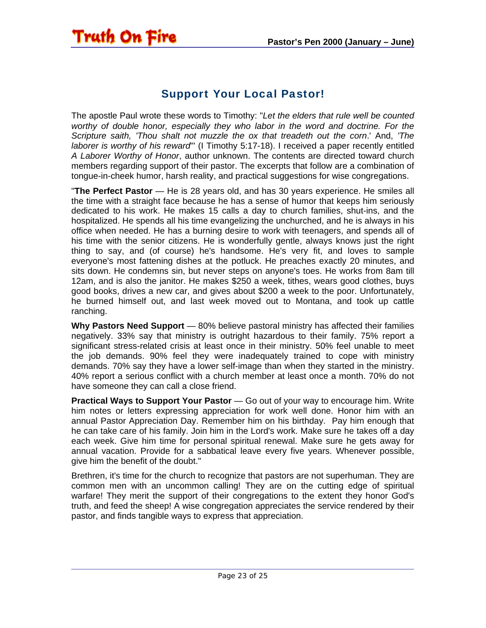#### Support Your Local Pastor!

<span id="page-22-0"></span>The apostle Paul wrote these words to Timothy: "*Let the elders that rule well be counted worthy of double honor, especially they who labor in the word and doctrine. For the Scripture saith, 'Thou shalt not muzzle the ox that treadeth out the corn*.' And, *'The laborer is worthy of his reward*'" (I Timothy 5:17-18). I received a paper recently entitled *A Laborer Worthy of Honor*, author unknown. The contents are directed toward church members regarding support of their pastor. The excerpts that follow are a combination of tongue-in-cheek humor, harsh reality, and practical suggestions for wise congregations.

"**The Perfect Pastor** — He is 28 years old, and has 30 years experience. He smiles all the time with a straight face because he has a sense of humor that keeps him seriously dedicated to his work. He makes 15 calls a day to church families, shut-ins, and the hospitalized. He spends all his time evangelizing the unchurched, and he is always in his office when needed. He has a burning desire to work with teenagers, and spends all of his time with the senior citizens. He is wonderfully gentle, always knows just the right thing to say, and (of course) he's handsome. He's very fit, and loves to sample everyone's most fattening dishes at the potluck. He preaches exactly 20 minutes, and sits down. He condemns sin, but never steps on anyone's toes. He works from 8am till 12am, and is also the janitor. He makes \$250 a week, tithes, wears good clothes, buys good books, drives a new car, and gives about \$200 a week to the poor. Unfortunately, he burned himself out, and last week moved out to Montana, and took up cattle ranching.

**Why Pastors Need Support** — 80% believe pastoral ministry has affected their families negatively. 33% say that ministry is outright hazardous to their family. 75% report a significant stress-related crisis at least once in their ministry. 50% feel unable to meet the job demands. 90% feel they were inadequately trained to cope with ministry demands. 70% say they have a lower self-image than when they started in the ministry. 40% report a serious conflict with a church member at least once a month. 70% do not have someone they can call a close friend.

**Practical Ways to Support Your Pastor** — Go out of your way to encourage him. Write him notes or letters expressing appreciation for work well done. Honor him with an annual Pastor Appreciation Day. Remember him on his birthday. Pay him enough that he can take care of his family. Join him in the Lord's work. Make sure he takes off a day each week. Give him time for personal spiritual renewal. Make sure he gets away for annual vacation. Provide for a sabbatical leave every five years. Whenever possible, give him the benefit of the doubt."

Brethren, it's time for the church to recognize that pastors are not superhuman. They are common men with an uncommon calling! They are on the cutting edge of spiritual warfare! They merit the support of their congregations to the extent they honor God's truth, and feed the sheep! A wise congregation appreciates the service rendered by their pastor, and finds tangible ways to express that appreciation.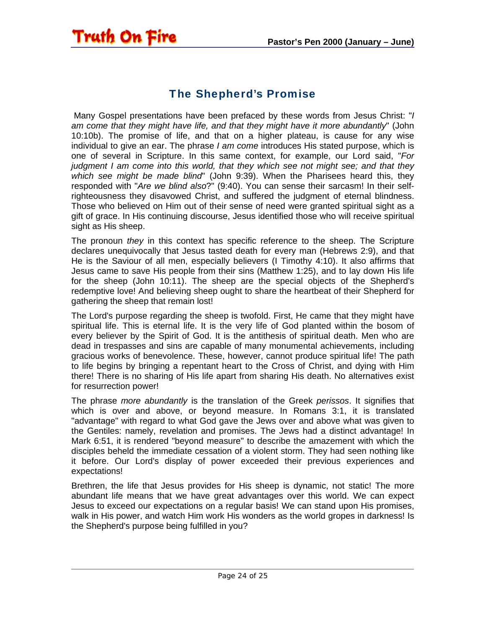#### The Shepherd's Promise

<span id="page-23-0"></span>Truth On Fire

 Many Gospel presentations have been prefaced by these words from Jesus Christ: "*I am come that they might have life, and that they might have it more abundantly*" (John 10:10b). The promise of life, and that on a higher plateau, is cause for any wise individual to give an ear. The phrase *I am come* introduces His stated purpose, which is one of several in Scripture. In this same context, for example, our Lord said, "*For judgment I am come into this world, that they which see not might see; and that they which see might be made blind*" (John 9:39). When the Pharisees heard this, they responded with "*Are we blind also*?" (9:40). You can sense their sarcasm! In their selfrighteousness they disavowed Christ, and suffered the judgment of eternal blindness. Those who believed on Him out of their sense of need were granted spiritual sight as a gift of grace. In His continuing discourse, Jesus identified those who will receive spiritual sight as His sheep.

The pronoun *they* in this context has specific reference to the sheep. The Scripture declares unequivocally that Jesus tasted death for every man (Hebrews 2:9), and that He is the Saviour of all men, especially believers (I Timothy 4:10). It also affirms that Jesus came to save His people from their sins (Matthew 1:25), and to lay down His life for the sheep (John 10:11). The sheep are the special objects of the Shepherd's redemptive love! And believing sheep ought to share the heartbeat of their Shepherd for gathering the sheep that remain lost!

The Lord's purpose regarding the sheep is twofold. First, He came that they might have spiritual life. This is eternal life. It is the very life of God planted within the bosom of every believer by the Spirit of God. It is the antithesis of spiritual death. Men who are dead in trespasses and sins are capable of many monumental achievements, including gracious works of benevolence. These, however, cannot produce spiritual life! The path to life begins by bringing a repentant heart to the Cross of Christ, and dying with Him there! There is no sharing of His life apart from sharing His death. No alternatives exist for resurrection power!

The phrase *more abundantly* is the translation of the Greek *perissos*. It signifies that which is over and above, or beyond measure. In Romans 3:1, it is translated "advantage" with regard to what God gave the Jews over and above what was given to the Gentiles: namely, revelation and promises. The Jews had a distinct advantage! In Mark 6:51, it is rendered "beyond measure" to describe the amazement with which the disciples beheld the immediate cessation of a violent storm. They had seen nothing like it before. Our Lord's display of power exceeded their previous experiences and expectations!

Brethren, the life that Jesus provides for His sheep is dynamic, not static! The more abundant life means that we have great advantages over this world. We can expect Jesus to exceed our expectations on a regular basis! We can stand upon His promises, walk in His power, and watch Him work His wonders as the world gropes in darkness! Is the Shepherd's purpose being fulfilled in you?